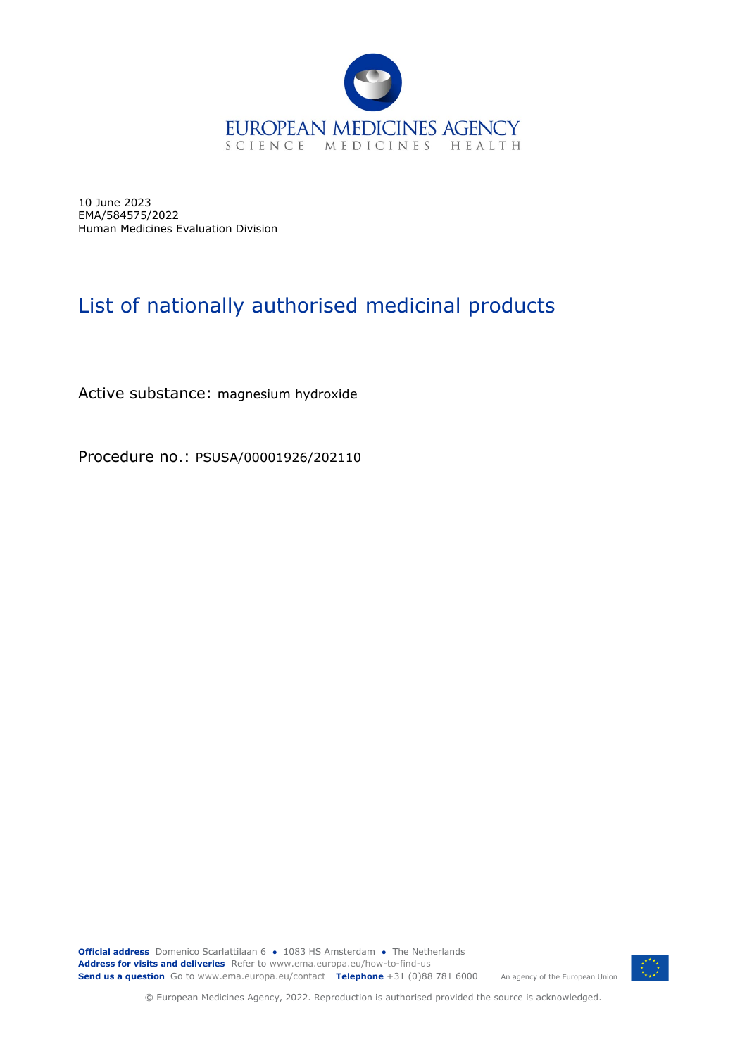

10 June 2023 EMA/584575/2022 Human Medicines Evaluation Division

## List of nationally authorised medicinal products

Active substance: magnesium hydroxide

Procedure no.: PSUSA/00001926/202110

**Official address** Domenico Scarlattilaan 6 **●** 1083 HS Amsterdam **●** The Netherlands An agency of the European Union **Address for visits and deliveries** Refer to www.ema.europa.eu/how-to-find-us **Send us a question** Go to www.ema.europa.eu/contact **Telephone** +31 (0)88 781 6000



© European Medicines Agency, 2022. Reproduction is authorised provided the source is acknowledged.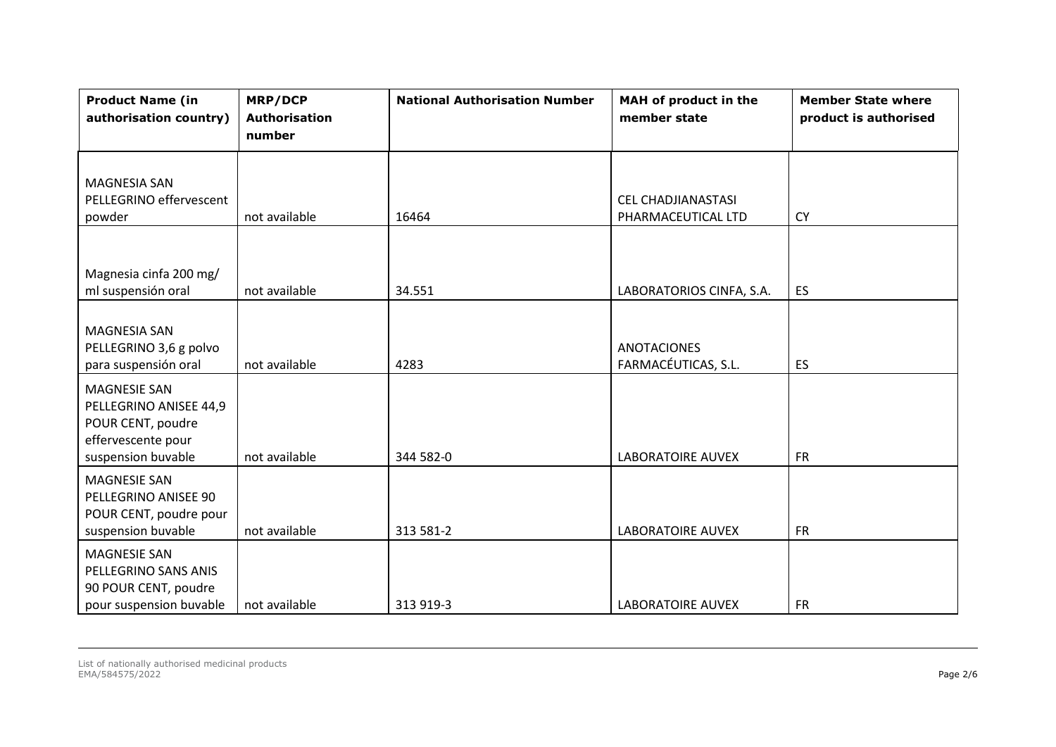| <b>Product Name (in</b><br>authorisation country)                                                              | <b>MRP/DCP</b><br><b>Authorisation</b><br>number | <b>National Authorisation Number</b> | MAH of product in the<br>member state           | <b>Member State where</b><br>product is authorised |
|----------------------------------------------------------------------------------------------------------------|--------------------------------------------------|--------------------------------------|-------------------------------------------------|----------------------------------------------------|
| <b>MAGNESIA SAN</b><br>PELLEGRINO effervescent<br>powder                                                       | not available                                    | 16464                                | <b>CEL CHADJIANASTASI</b><br>PHARMACEUTICAL LTD | <b>CY</b>                                          |
| Magnesia cinfa 200 mg/<br>ml suspensión oral                                                                   | not available                                    | 34.551                               | LABORATORIOS CINFA, S.A.                        | <b>ES</b>                                          |
| <b>MAGNESIA SAN</b><br>PELLEGRINO 3,6 g polvo<br>para suspensión oral                                          | not available                                    | 4283                                 | <b>ANOTACIONES</b><br>FARMACÉUTICAS, S.L.       | <b>ES</b>                                          |
| <b>MAGNESIE SAN</b><br>PELLEGRINO ANISEE 44,9<br>POUR CENT, poudre<br>effervescente pour<br>suspension buvable | not available                                    | 344 582-0                            | <b>LABORATOIRE AUVEX</b>                        | <b>FR</b>                                          |
| <b>MAGNESIE SAN</b><br>PELLEGRINO ANISEE 90<br>POUR CENT, poudre pour<br>suspension buvable                    | not available                                    | 313 581-2                            | <b>LABORATOIRE AUVEX</b>                        | <b>FR</b>                                          |
| <b>MAGNESIE SAN</b><br>PELLEGRINO SANS ANIS<br>90 POUR CENT, poudre<br>pour suspension buvable                 | not available                                    | 313 919-3                            | <b>LABORATOIRE AUVEX</b>                        | <b>FR</b>                                          |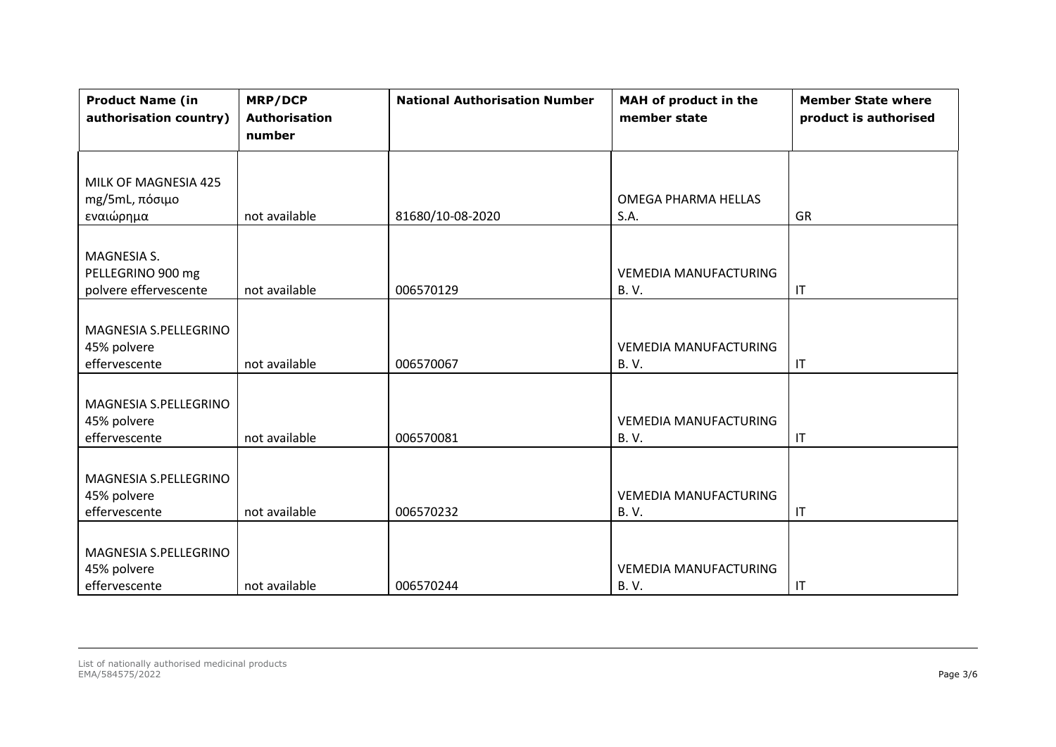| <b>Product Name (in</b><br>authorisation country) | <b>MRP/DCP</b><br><b>Authorisation</b><br>number | <b>National Authorisation Number</b> | MAH of product in the<br>member state | <b>Member State where</b><br>product is authorised |
|---------------------------------------------------|--------------------------------------------------|--------------------------------------|---------------------------------------|----------------------------------------------------|
| MILK OF MAGNESIA 425                              |                                                  |                                      |                                       |                                                    |
| mg/5mL, πόσιμο                                    |                                                  |                                      | OMEGA PHARMA HELLAS                   |                                                    |
| εναιώρημα                                         | not available                                    | 81680/10-08-2020                     | S.A.                                  | GR                                                 |
|                                                   |                                                  |                                      |                                       |                                                    |
| MAGNESIA S.                                       |                                                  |                                      |                                       |                                                    |
| PELLEGRINO 900 mg                                 |                                                  |                                      | <b>VEMEDIA MANUFACTURING</b>          |                                                    |
| polvere effervescente                             | not available                                    | 006570129                            | <b>B.V.</b>                           | $\mathsf{I}\mathsf{T}$                             |
|                                                   |                                                  |                                      |                                       |                                                    |
| MAGNESIA S.PELLEGRINO                             |                                                  |                                      |                                       |                                                    |
| 45% polvere                                       |                                                  |                                      | <b>VEMEDIA MANUFACTURING</b>          |                                                    |
| effervescente                                     | not available                                    | 006570067                            | <b>B.V.</b>                           | $\mathsf{I}\mathsf{T}$                             |
|                                                   |                                                  |                                      |                                       |                                                    |
| MAGNESIA S.PELLEGRINO                             |                                                  |                                      |                                       |                                                    |
| 45% polvere                                       |                                                  |                                      | <b>VEMEDIA MANUFACTURING</b>          |                                                    |
| effervescente                                     | not available                                    | 006570081                            | <b>B.V.</b>                           | $\mathsf{I}\mathsf{T}$                             |
|                                                   |                                                  |                                      |                                       |                                                    |
| MAGNESIA S.PELLEGRINO                             |                                                  |                                      |                                       |                                                    |
| 45% polvere                                       |                                                  |                                      | <b>VEMEDIA MANUFACTURING</b>          |                                                    |
| effervescente                                     | not available                                    | 006570232                            | <b>B.V.</b>                           | $\mathsf{I}\mathsf{T}$                             |
|                                                   |                                                  |                                      |                                       |                                                    |
| MAGNESIA S.PELLEGRINO                             |                                                  |                                      |                                       |                                                    |
| 45% polvere                                       |                                                  |                                      | <b>VEMEDIA MANUFACTURING</b>          |                                                    |
| effervescente                                     | not available                                    | 006570244                            | <b>B.V.</b>                           | $\mathsf{I}\mathsf{T}$                             |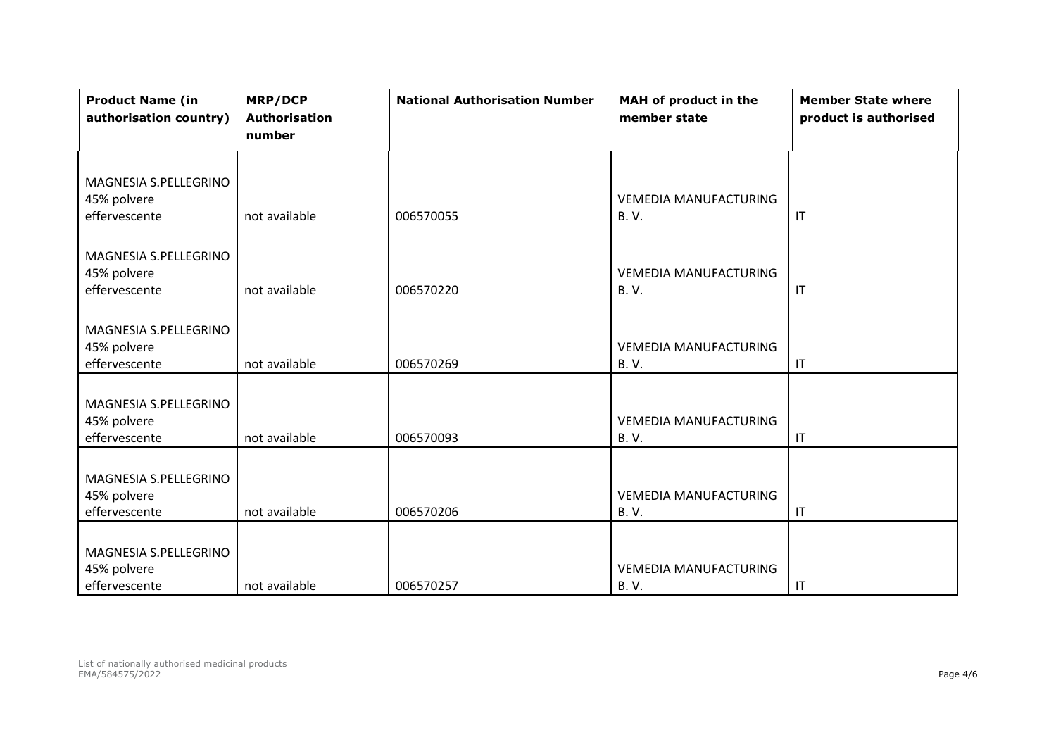| <b>Product Name (in</b><br>authorisation country) | <b>MRP/DCP</b><br><b>Authorisation</b><br>number | <b>National Authorisation Number</b> | MAH of product in the<br>member state | <b>Member State where</b><br>product is authorised |
|---------------------------------------------------|--------------------------------------------------|--------------------------------------|---------------------------------------|----------------------------------------------------|
|                                                   |                                                  |                                      |                                       |                                                    |
| MAGNESIA S.PELLEGRINO                             |                                                  |                                      |                                       |                                                    |
| 45% polvere                                       |                                                  |                                      | <b>VEMEDIA MANUFACTURING</b>          |                                                    |
| effervescente                                     | not available                                    | 006570055                            | <b>B.V.</b>                           | $\mathsf{I}\mathsf{T}$                             |
|                                                   |                                                  |                                      |                                       |                                                    |
| MAGNESIA S.PELLEGRINO                             |                                                  |                                      |                                       |                                                    |
| 45% polvere                                       |                                                  |                                      | <b>VEMEDIA MANUFACTURING</b>          |                                                    |
| effervescente                                     | not available                                    | 006570220                            | <b>B.V.</b>                           | $\mathsf{I}\mathsf{T}$                             |
|                                                   |                                                  |                                      |                                       |                                                    |
| MAGNESIA S.PELLEGRINO                             |                                                  |                                      |                                       |                                                    |
| 45% polvere                                       |                                                  |                                      | <b>VEMEDIA MANUFACTURING</b>          |                                                    |
| effervescente                                     | not available                                    | 006570269                            | <b>B.V.</b>                           | $\mathsf{I}\mathsf{T}$                             |
|                                                   |                                                  |                                      |                                       |                                                    |
| MAGNESIA S.PELLEGRINO                             |                                                  |                                      |                                       |                                                    |
| 45% polvere                                       |                                                  |                                      | <b>VEMEDIA MANUFACTURING</b>          |                                                    |
| effervescente                                     | not available                                    | 006570093                            | <b>B.V.</b>                           | IT                                                 |
|                                                   |                                                  |                                      |                                       |                                                    |
| MAGNESIA S.PELLEGRINO                             |                                                  |                                      |                                       |                                                    |
| 45% polvere                                       |                                                  |                                      | <b>VEMEDIA MANUFACTURING</b>          |                                                    |
| effervescente                                     | not available                                    | 006570206                            | <b>B.V.</b>                           | $\mathsf{I}\mathsf{T}$                             |
|                                                   |                                                  |                                      |                                       |                                                    |
| MAGNESIA S.PELLEGRINO                             |                                                  |                                      |                                       |                                                    |
| 45% polvere                                       |                                                  |                                      | <b>VEMEDIA MANUFACTURING</b>          |                                                    |
| effervescente                                     | not available                                    | 006570257                            | <b>B.V.</b>                           | $\mathsf{I}\mathsf{T}$                             |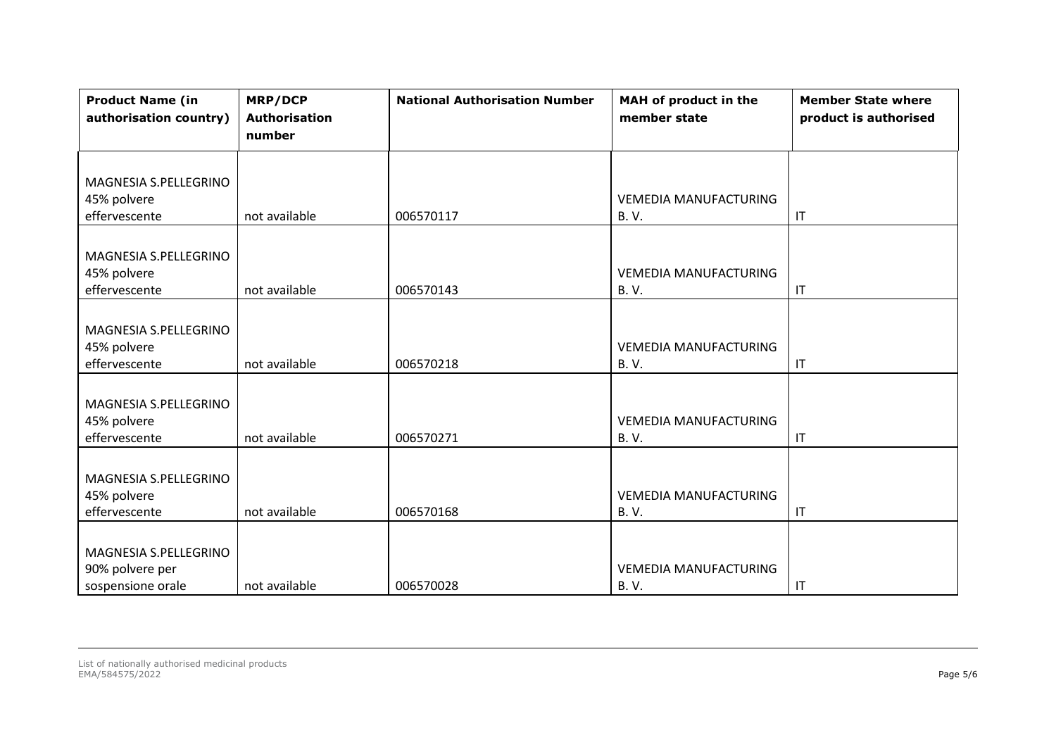| <b>Product Name (in</b><br>authorisation country) | <b>MRP/DCP</b><br><b>Authorisation</b><br>number | <b>National Authorisation Number</b> | MAH of product in the<br>member state | <b>Member State where</b><br>product is authorised |
|---------------------------------------------------|--------------------------------------------------|--------------------------------------|---------------------------------------|----------------------------------------------------|
|                                                   |                                                  |                                      |                                       |                                                    |
| MAGNESIA S.PELLEGRINO                             |                                                  |                                      |                                       |                                                    |
| 45% polvere                                       |                                                  |                                      | <b>VEMEDIA MANUFACTURING</b>          |                                                    |
| effervescente                                     | not available                                    | 006570117                            | <b>B.V.</b>                           | $\mathsf{I}\mathsf{T}$                             |
|                                                   |                                                  |                                      |                                       |                                                    |
| MAGNESIA S.PELLEGRINO                             |                                                  |                                      |                                       |                                                    |
| 45% polvere                                       |                                                  |                                      | <b>VEMEDIA MANUFACTURING</b>          |                                                    |
| effervescente                                     | not available                                    | 006570143                            | <b>B.V.</b>                           | $\mathsf{I}\mathsf{T}$                             |
|                                                   |                                                  |                                      |                                       |                                                    |
| MAGNESIA S.PELLEGRINO                             |                                                  |                                      |                                       |                                                    |
| 45% polvere                                       |                                                  |                                      | <b>VEMEDIA MANUFACTURING</b>          |                                                    |
| effervescente                                     | not available                                    | 006570218                            | <b>B.V.</b>                           | $\mathsf{I}\mathsf{T}$                             |
|                                                   |                                                  |                                      |                                       |                                                    |
| MAGNESIA S.PELLEGRINO                             |                                                  |                                      |                                       |                                                    |
| 45% polvere                                       |                                                  |                                      | <b>VEMEDIA MANUFACTURING</b>          |                                                    |
| effervescente                                     | not available                                    | 006570271                            | <b>B.V.</b>                           | $\mathsf{I}\mathsf{T}$                             |
|                                                   |                                                  |                                      |                                       |                                                    |
| MAGNESIA S.PELLEGRINO                             |                                                  |                                      |                                       |                                                    |
| 45% polvere                                       |                                                  |                                      | <b>VEMEDIA MANUFACTURING</b>          |                                                    |
| effervescente                                     | not available                                    | 006570168                            | <b>B.V.</b>                           | $\mathsf{I}\mathsf{T}$                             |
|                                                   |                                                  |                                      |                                       |                                                    |
| MAGNESIA S.PELLEGRINO                             |                                                  |                                      |                                       |                                                    |
| 90% polvere per                                   |                                                  |                                      | <b>VEMEDIA MANUFACTURING</b>          |                                                    |
| sospensione orale                                 | not available                                    | 006570028                            | <b>B.V.</b>                           | $\mathsf{I}\mathsf{T}$                             |